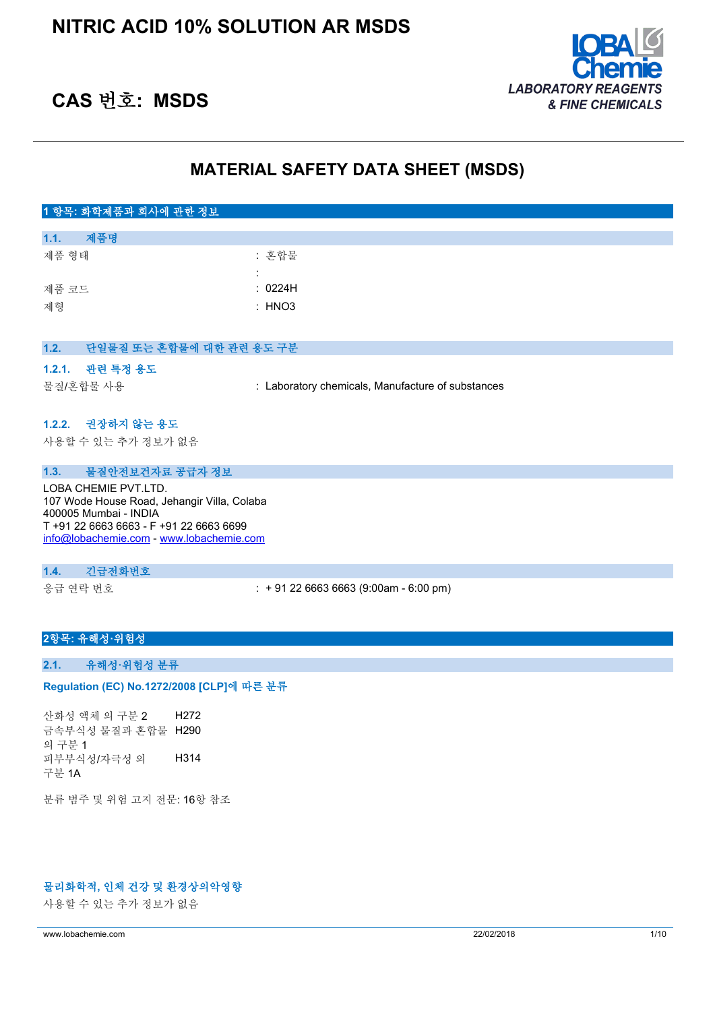

# **CAS 번호: MSDS**

# **MATERIAL SAFETY DATA SHEET (MSDS)**

| 1 항목: 화학제품과 회사에 관한 정보                                                |                                                   |
|----------------------------------------------------------------------|---------------------------------------------------|
| 제품명<br>1.1.                                                          |                                                   |
| 제품 형태                                                                | : 혼합물                                             |
|                                                                      |                                                   |
| 제품 코드                                                                | : 0224H                                           |
| 제형                                                                   | : HNO3                                            |
|                                                                      |                                                   |
| 1.2.<br>단일물질 또는 혼합물에 대한 관련 용도 구분                                     |                                                   |
| 관련 특정 용도<br>1.2.1.                                                   |                                                   |
| 물질/혼합물 사용                                                            | : Laboratory chemicals, Manufacture of substances |
|                                                                      |                                                   |
| 1.2.2. 권장하지 않는 용도                                                    |                                                   |
| 사용할 수 있는 추가 정보가 없음                                                   |                                                   |
|                                                                      |                                                   |
| 물질안전보건자료 공급자 정보<br>1.3.                                              |                                                   |
| LOBA CHEMIE PVT.LTD.                                                 |                                                   |
| 107 Wode House Road, Jehangir Villa, Colaba<br>400005 Mumbai - INDIA |                                                   |
| T +91 22 6663 6663 - F +91 22 6663 6699                              |                                                   |
| info@lobachemie.com - www.lobachemie.com                             |                                                   |
|                                                                      |                                                   |
| 긴급전화번호<br>1.4.                                                       |                                                   |
| 응급 연락 번호                                                             | $: +912266636663(9:00am - 6:00 pm)$               |
|                                                                      |                                                   |

## **2항목: 유해성·위험성**

# **2.1. 유해성·위험성 분류**

### Regulation (EC) No.1272/2008 [CLP]에 따른 분류

산화성 액체 의 구분 2 H272 금속부식성 물질과 혼합물 H290 의 구분 1 피부부식성/자극성 의 구분 1A H314

분류 범주 및 위험 고지 전문: 16항 참조

# **물리화학적, 인체 건강 및 환경상의악영향**

사용할 수 있는 추가 정보가 없음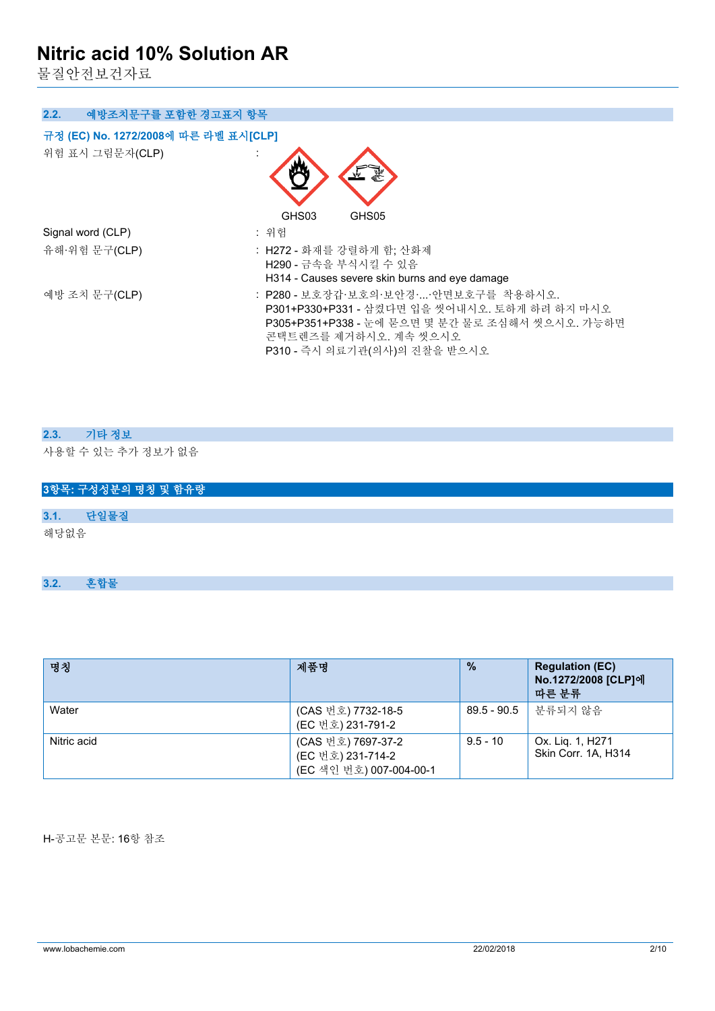물질안전보건자료

| 2.2.<br>예방조치문구를 포함한 경고표지 항목          |                                                                                                                                                                                                   |
|--------------------------------------|---------------------------------------------------------------------------------------------------------------------------------------------------------------------------------------------------|
| 규정 (EC) No. 1272/2008에 따른 라벨 표시[CLP] |                                                                                                                                                                                                   |
| 위험 표시 그림문자(CLP)                      |                                                                                                                                                                                                   |
|                                      | GHS03<br>GHS05                                                                                                                                                                                    |
| Signal word (CLP)                    | : 위험                                                                                                                                                                                              |
| 유해·위험 문구(CLP)                        | : H272 - 화재를 강렬하게 함: 산화제<br>H290 - 금속을 부식시킬 수 있음<br>H314 - Causes severe skin burns and eye damage                                                                                                |
| 예방 조치 문구(CLP)                        | : P280 - 보호장갑·보호의·보안경··안면보호구를 착용하시오.<br>P301+P330+P331 - 삼켰다면 입을 씻어내시오. 토하게 하려 하지 마시오<br>P305+P351+P338 - 눈에 묻으면 몇 분간 물로 조심해서 씻으시오. 가능하면<br>콘택트렌즈를 제거하시오. 계속 씻으시오<br>P310 - 즉시 의료기관(의사)의 진찰을 받으시오 |

# **2.3. 기타 정보**

사용할 수 있는 추가 정보가 없음

|      | 3항목: 구성성분의 명칭 및 함유량 |
|------|---------------------|
|      |                     |
| 3.1. | 단일물질                |
| 해당없음 |                     |

**3.2. 혼합물**

| 명칭          | 제품명                                                                | $\frac{9}{6}$ | <b>Regulation (EC)</b><br>No.1272/2008 [CLP]에<br>따른 분류 |
|-------------|--------------------------------------------------------------------|---------------|--------------------------------------------------------|
| Water       | (CAS 번호) 7732-18-5<br>(EC 번호) 231-791-2                            | $89.5 - 90.5$ | . 부류되지 않음                                              |
| Nitric acid | (CAS 번호) 7697-37-2<br>(EC 번호) 231-714-2<br>(EC 색인 번호) 007-004-00-1 | $9.5 - 10$    | Ox. Lig. 1, H271<br>Skin Corr. 1A, H314                |

H-공고문 본문: 16항 참조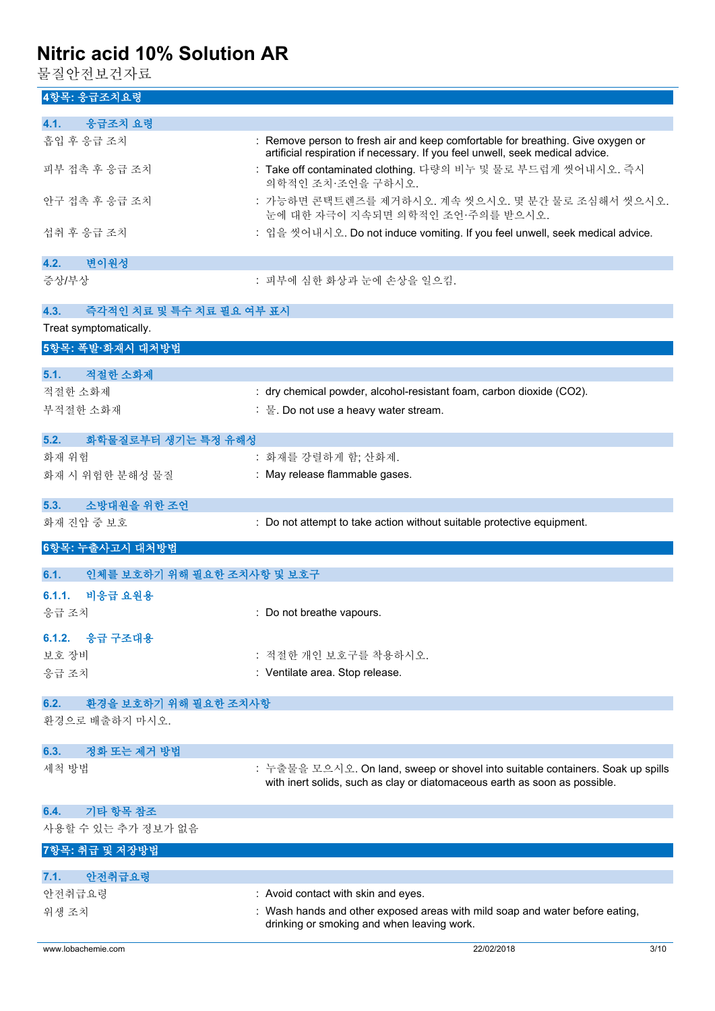물질안전보건자료

# **4항목: 응급조치요령**

| 4.1.<br>응급조치 요령                    |                                                                                                                                                                  |
|------------------------------------|------------------------------------------------------------------------------------------------------------------------------------------------------------------|
| 흡입 후 응급 조치                         | : Remove person to fresh air and keep comfortable for breathing. Give oxygen or<br>artificial respiration if necessary. If you feel unwell, seek medical advice. |
| 피부 접촉 후 응급 조치                      | : Take off contaminated clothing. 다량의 비누 및 물로 부드럽게 씻어내시오. 즉시<br>의학적인 조치·조언을 구하시오.                                                                                |
| 안구 접촉 후 응급 조치                      | : 가능하면 콘택트렌즈를 제거하시오. 계속 씻으시오. 몇 분간 물로 조심해서 씻으시오.<br>눈에 대한 자극이 지속되면 의학적인 조언·주의를 받으시오.                                                                             |
| 섭취 후 응급 조치                         | : 입을 씻어내시오. Do not induce vomiting. If you feel unwell, seek medical advice.                                                                                     |
| 변이원성<br>4.2.                       |                                                                                                                                                                  |
| 증상/부상                              | : 피부에 심한 화상과 눈에 손상을 일으킴.                                                                                                                                         |
| 4.3.<br>즉각적인 치료 및 특수 치료 필요 여부 표시   |                                                                                                                                                                  |
| Treat symptomatically.             |                                                                                                                                                                  |
| 5항목: 폭발·화재시 대처방법                   |                                                                                                                                                                  |
| 적절한 소화제<br>5.1.                    |                                                                                                                                                                  |
| 적절한 소화제                            | : dry chemical powder, alcohol-resistant foam, carbon dioxide (CO2).                                                                                             |
| 부적절한 소화재                           | : 물. Do not use a heavy water stream.                                                                                                                            |
|                                    |                                                                                                                                                                  |
| 5.2.<br>화학물질로부터 생기는 특정 유해성         |                                                                                                                                                                  |
| 화재 위험                              | : 화재를 강렬하게 함; 산화제.                                                                                                                                               |
| 화재 시 위험한 분해성 물질                    | : May release flammable gases.                                                                                                                                   |
| 소방대원을 위한 조언<br>5.3.                |                                                                                                                                                                  |
| 화재 진압 중 보호                         | : Do not attempt to take action without suitable protective equipment.                                                                                           |
|                                    |                                                                                                                                                                  |
| 6항목: 누출사고시 대처방법                    |                                                                                                                                                                  |
| 인체를 보호하기 위해 필요한 조치사항 및 보호구<br>6.1. |                                                                                                                                                                  |
| 비응급 요원용<br>6.1.1.                  |                                                                                                                                                                  |
| 응급 조치                              | : Do not breathe vapours.                                                                                                                                        |
| 응급 구조대용<br>6.1.2.                  |                                                                                                                                                                  |
|                                    | : 적절한 개인 보호구를 착용하시오.                                                                                                                                             |
| 보호 장비<br>응급 조치                     | : Ventilate area. Stop release.                                                                                                                                  |
|                                    |                                                                                                                                                                  |
| 환경을 보호하기 위해 필요한 조치사항<br>6.2.       |                                                                                                                                                                  |
| 환경으로 배출하지 마시오.                     |                                                                                                                                                                  |
| 정화 또는 제거 방법<br>6.3.                |                                                                                                                                                                  |
| 세척 방법                              | : 누출물을 모으시오. On land, sweep or shovel into suitable containers. Soak up spills                                                                                   |
|                                    | with inert solids, such as clay or diatomaceous earth as soon as possible.                                                                                       |
| 기타 항목 참조<br>6.4.                   |                                                                                                                                                                  |
| 사용할 수 있는 추가 정보가 없음                 |                                                                                                                                                                  |
| 7항목: 취급 및 저장방법                     |                                                                                                                                                                  |
| 안전취급요령<br>7.1.                     |                                                                                                                                                                  |
| 안전취급요령                             | : Avoid contact with skin and eyes.                                                                                                                              |
| 위생 조치                              | : Wash hands and other exposed areas with mild soap and water before eating,                                                                                     |
|                                    | drinking or smoking and when leaving work.                                                                                                                       |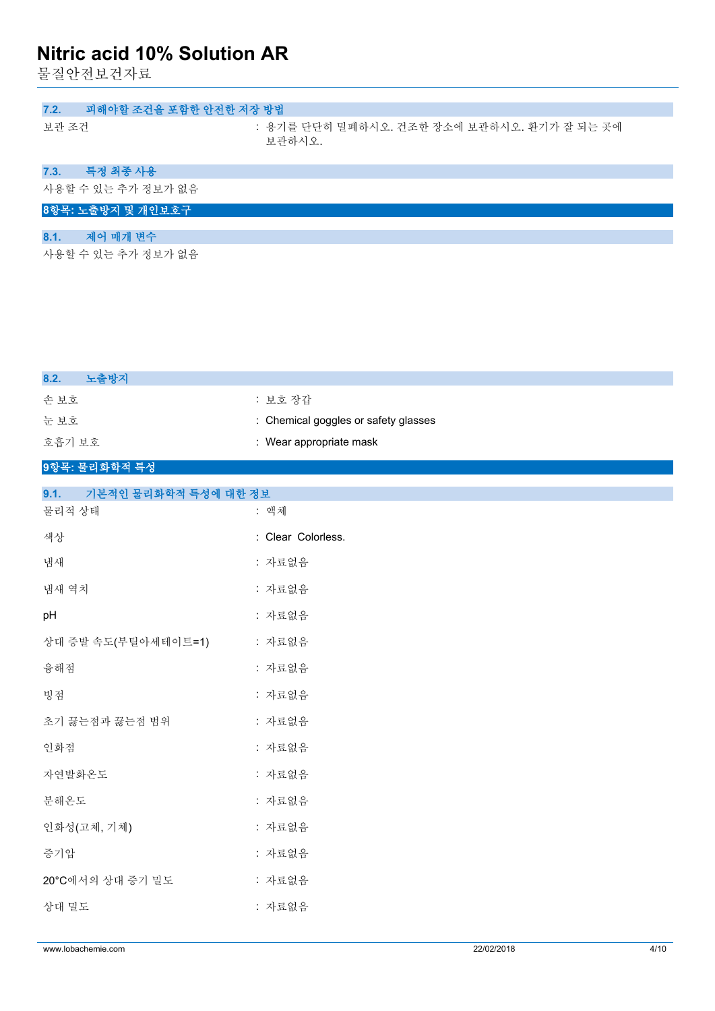물질안전보건자료

| 피해야할 조건을 포함한 안전한 저장 방법<br>7.2. |                                                       |
|--------------------------------|-------------------------------------------------------|
| 보관 조건                          | : 용기를 단단히 밀폐하시오. 건조한 장소에 보관하시오. 환기가 잘 되는 곳에<br>보관하시오. |
| 특정 최종 사용<br>7.3.               |                                                       |
| 사용할 수 있는 추가 정보가 없음             |                                                       |
| 8항목: 노출방지 및 개인보호구              |                                                       |
| 제어 매개 변수.<br>8.1.              |                                                       |
| 사용할 수 있는 추가 정보가 없음             |                                                       |

| 8.2.<br>노출방지                 |                                      |
|------------------------------|--------------------------------------|
| 손보호                          | : 보호 장갑                              |
| 눈보호                          | : Chemical goggles or safety glasses |
| 호흡기 보호                       | : Wear appropriate mask              |
| 9항목: 물리화학적 특성                |                                      |
| 9.1.<br>기본적인 물리화학적 특성에 대한 정보 |                                      |
| 물리적 상태                       | : 액체                                 |
| 색상                           | : Clear Colorless.                   |
| 냄새                           | : 자료없음                               |
| 냄새 역치                        | : 자료없음                               |
| pH                           | : 자료없음                               |
| 상대 증발 속도(부틸아세테이트=1)          | : 자료없음                               |
| 융해점                          | : 자료없음                               |
| 빙점                           | : 자료없음                               |
| 초기 끓는점과 끓는점 범위               | : 자료없음                               |
| 인화점                          | : 자료없음                               |
| 자연발화온도                       | : 자료없음                               |
| 분해온도                         | : 자료없음                               |
| 인화성(고체, 기체)                  | : 자료없음                               |
| 증기압                          | : 자료없음                               |
| 20°C에서의 상대 증기 밀도             | : 자료없음                               |
| 상대 밀도                        | : 자료없음                               |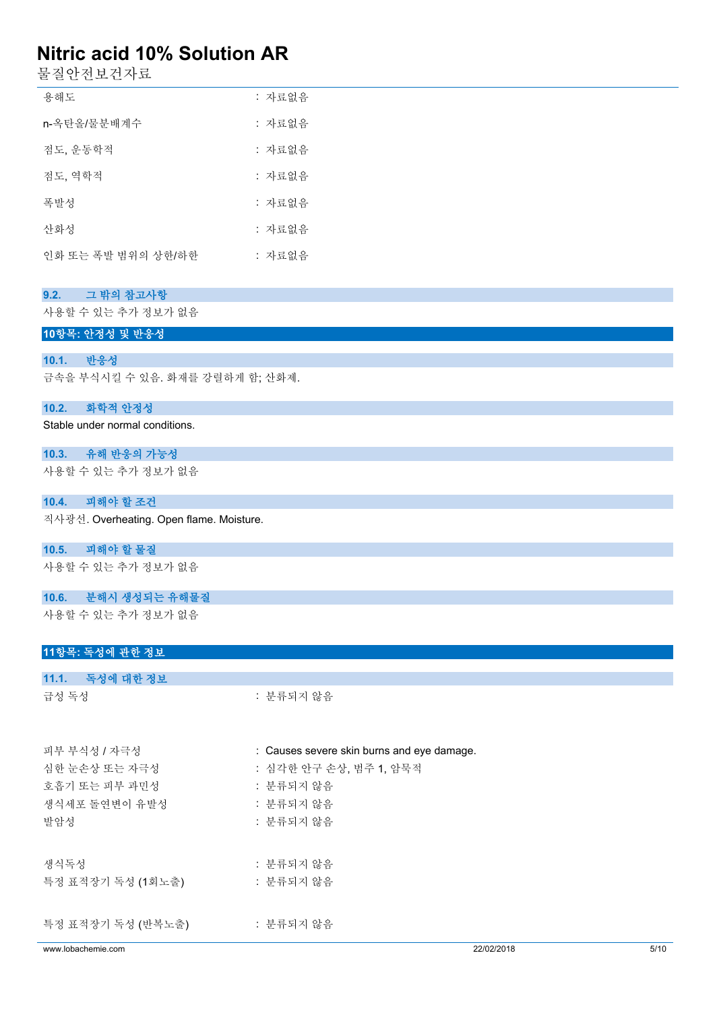물질안전보건자료

| 용해도                | : 자료없음 |
|--------------------|--------|
| n-옥탄올/물분배계수        | : 자료없음 |
| 점도, 운동학적           | : 자료없음 |
| 점도, 역학적            | : 자료없음 |
| 폭발성                | : 자료없음 |
| 산화성                | : 자료없음 |
| 인화 또는 폭발 범위의 상한/하한 | : 자료없음 |

| 그 밖의 참고사항<br>9.2. |
|-------------------|
|-------------------|

사용할 수 있는 추가 정보가 없음

**10항목: 안정성 및 반응성**

### **10.1. 반응성**

금속을 부식시킬 수 있음. 화재를 강렬하게 함; 산화제.

### **10.2. 화학적 안정성**

Stable under normal conditions.

**10.3. 유해 반응의 가능성** 사용할 수 있는 추가 정보가 없음

### **10.4. 피해야 할 조건**

직사광선. Overheating. Open flame. Moisture.

### **10.5. 피해야 할 물질**

사용할 수 있는 추가 정보가 없음

### **10.6. 분해시 생성되는 유해물질**

사용할 수 있는 추가 정보가 없음

## **11항목: 독성에 관한 정보**

| 11.1. 독성에 대한 정보   |                                            |
|-------------------|--------------------------------------------|
| 급성 독성             | : 분류되지 않음                                  |
| 피부 부식성 / 자극성      | : Causes severe skin burns and eye damage. |
| 심한 눈손상 또는 자극성     | : 심각한 안구 손상, 범주 1, 암묵적                     |
| 호흡기 또는 피부 과민성     | : 분류되지 않음                                  |
| 생식세포 돌연변이 유발성     | : 분류되지 않음                                  |
| 발암성               | : 분류되지 않음                                  |
| 생식독성              | : 분류되지 않음                                  |
| 특정 표적장기 독성 (1회노출) | : 분류되지 않음                                  |
| 특정 표적장기 독성 (반복노출) | : 분류되지 않음                                  |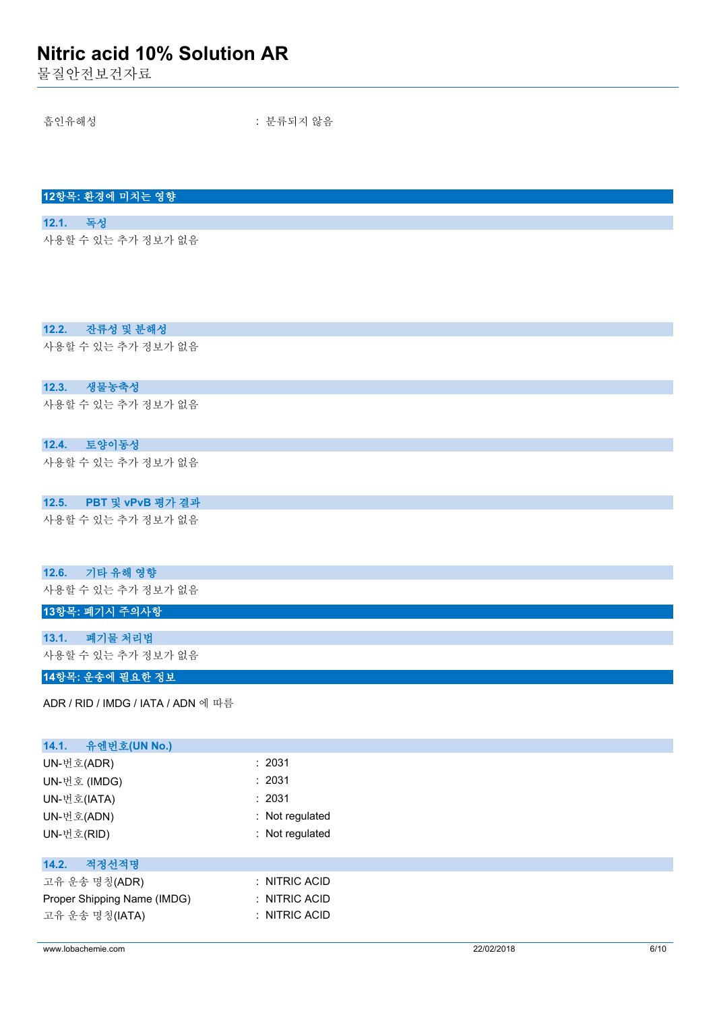물질안전보건자료

**12항목: 환경에 미치는 영향**

**12.2. 잔류성 및 분해성**

**12.3. 생물농축성**

**12.4. 토양이동성**

사용할 수 있는 추가 정보가 없음

사용할 수 있는 추가 정보가 없음

사용할 수 있는 추가 정보가 없음

사용할 수 있는 추가 정보가 없음

**12.1. 독성**

흡인유해성 : 분류되지 않음

| PBT 및 vPvB 평가 결과<br>12.5.          |                 |  |
|------------------------------------|-----------------|--|
| 사용할 수 있는 추가 정보가 없음                 |                 |  |
| 기타 유해 영향<br>12.6.                  |                 |  |
| 사용할 수 있는 추가 정보가 없음                 |                 |  |
| 13항목: 폐기시 주의사항                     |                 |  |
| 폐기물 처리법<br>13.1.                   |                 |  |
| 사용할 수 있는 추가 정보가 없음                 |                 |  |
| 14항목: 운송에 필요한 정보                   |                 |  |
| ADR / RID / IMDG / IATA / ADN 에 따름 |                 |  |
|                                    |                 |  |
| 유엔번호(UN No.)<br>14.1.              |                 |  |
| UN-번호(ADR)                         | : 2031          |  |
| UN-번호 (IMDG)                       | : 2031          |  |
| UN-번호(IATA)                        | : 2031          |  |
| UN-번호(ADN)                         | : Not regulated |  |
| UN-번호(RID)                         | : Not regulated |  |
| 적정선적명<br>14.2.                     |                 |  |
| 고유 운송 명칭(ADR)                      | : NITRIC ACID   |  |
| Proper Shipping Name (IMDG)        | : NITRIC ACID   |  |
| 고유 운송 명칭(IATA)                     | : NITRIC ACID   |  |

www.lobachemie.com 22/02/2018 6/10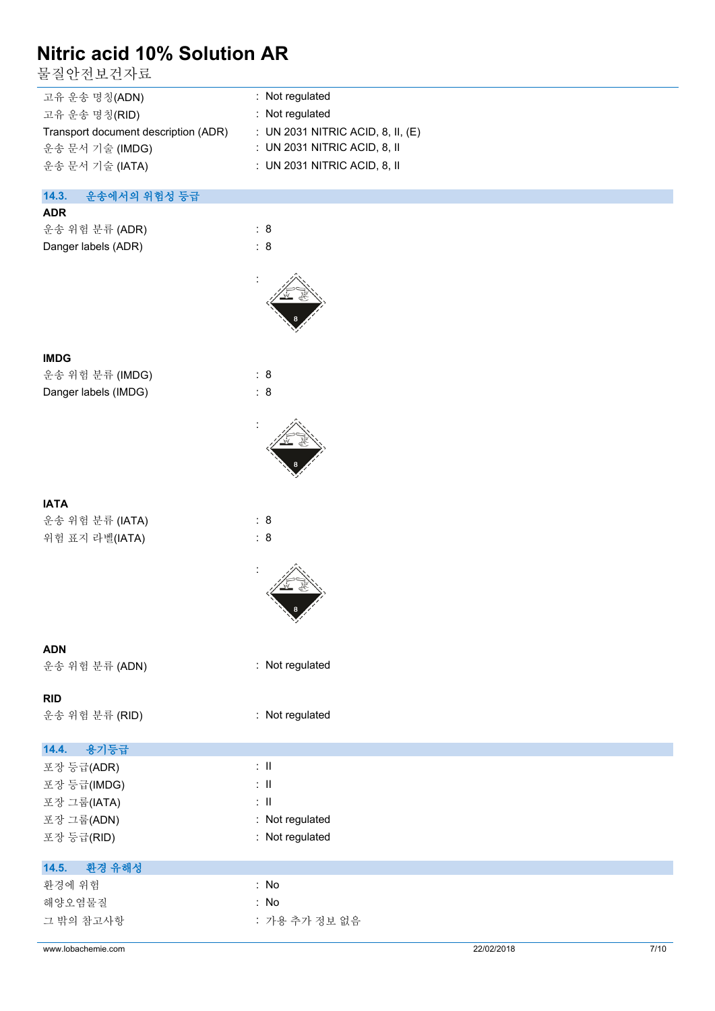물질안전보건자료

| 고유 운송 명칭(ADN)                        | : Not regulated                     |
|--------------------------------------|-------------------------------------|
| 고유 운송 명칭(RID)                        | : Not regulated                     |
| Transport document description (ADR) | : UN 2031 NITRIC ACID, 8, II, $(E)$ |
| 운송 문서 기술 (IMDG)                      | : UN 2031 NITRIC ACID, 8, II        |
| 운송 문서 기술 (IATA)                      | $\pm$ UN 2031 NITRIC ACID, 8, II    |
|                                      |                                     |

## **14.3. 운송에서의 위험성 등급**

## **ADR**

| 운송 위험 분류 (ADR)      | : 8 |
|---------------------|-----|
| Danger labels (ADR) | : 8 |



# **IMDG** 운송 위험 분류 (IMDG) : 8

Danger labels (IMDG) : 8

|--|--|

운송 위험 분류 (IATA) : 8 위험 표지 라벨(IATA) : 8



:



# **ADN**

운송 위험 분류 (ADN) : Not regulated

## **RID**

운송 위험 분류 (RID) : Not regulated

# **14.4. 용기등급**

| 포장 등급(ADR)  | ÷Π              |
|-------------|-----------------|
| 포장 등급(IMDG) | ÷Π              |
| 포장 그룹(IATA) | : II            |
| 포장 그룹(ADN)  | : Not regulated |
| 포장 등급(RID)  | : Not regulated |
|             |                 |

# **14.5. 환경 유해성**

| 환경에 위험    | : No          |
|-----------|---------------|
| 해양오염물질    | : No          |
| 그 밖의 참고사항 | : 가용 추가 정보 없음 |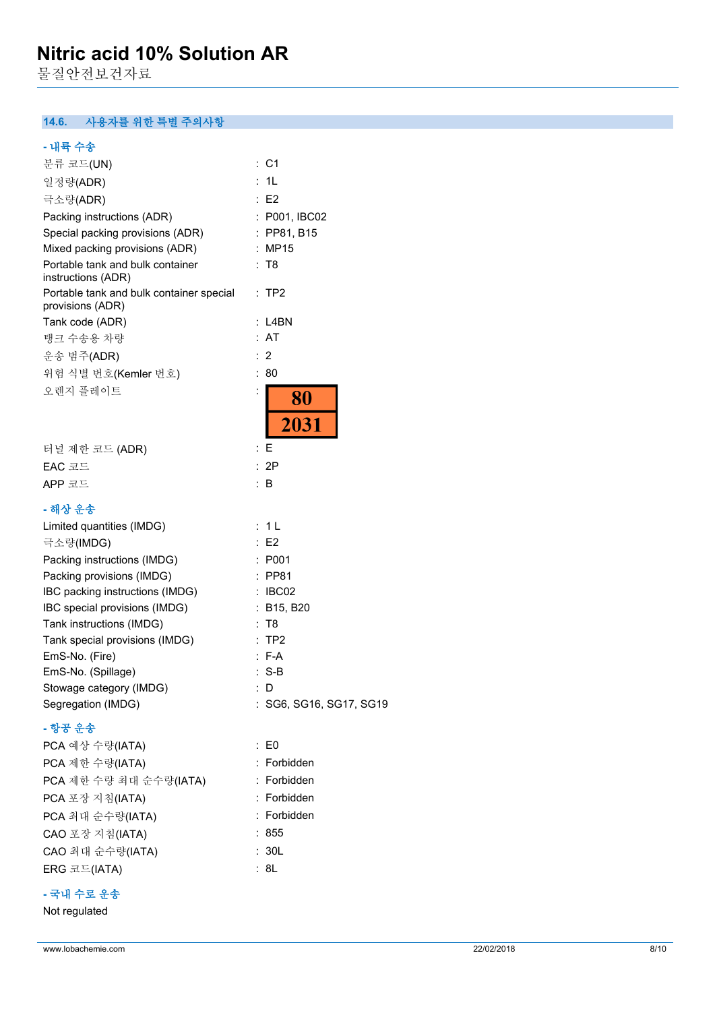물질안전보건자료

## **14.6. 사용자를 위한 특별 주의사항**

# **- 내륙 수송**

| 분류 코드(UN)                                                    | : C1                    |
|--------------------------------------------------------------|-------------------------|
| 일정량(ADR)                                                     | 1L                      |
| 극소량(ADR)                                                     | E2                      |
| Packing instructions (ADR)                                   | : P001, IBC02           |
| Special packing provisions (ADR)                             | : PP81, B15             |
| Mixed packing provisions (ADR)                               | : MP15                  |
| Portable tank and bulk container<br>instructions (ADR)       | : T8                    |
| Portable tank and bulk container special<br>provisions (ADR) | : TP2                   |
| Tank code (ADR)                                              | : L4BN                  |
| 탱크 수송용 차량                                                    | : AT                    |
| 운송 범주(ADR)                                                   | 2                       |
| 위험 식별 번호(Kemler 번호)                                          | 80<br>÷                 |
| 오렌지 플레이트                                                     | ÷<br>80<br>2031         |
| 터널 제한 코드 (ADR)                                               | : E                     |
| EAC 코드                                                       | 2P<br>÷                 |
| APP 코드                                                       | B<br>÷.                 |
| - 해상 운송                                                      |                         |
| Limited quantities (IMDG)                                    | 1 L<br>÷                |
| 극소량(IMDG)                                                    | : E2                    |
| Packing instructions (IMDG)                                  | : P001                  |
| Packing provisions (IMDG)                                    | : PP81                  |
| IBC packing instructions (IMDG)                              | : IBCO2                 |
| IBC special provisions (IMDG)                                | : B15, B20              |
| Tank instructions (IMDG)                                     | : T8                    |
| Tank special provisions (IMDG)                               | TP <sub>2</sub>         |
| EmS-No. (Fire)                                               | F-A                     |
| EmS-No. (Spillage)                                           | $: S-B$                 |
| Stowage category (IMDG)                                      | D.                      |
| Segregation (IMDG)                                           | : SG6, SG16, SG17, SG19 |
| - 항공 운송                                                      |                         |
| PCA 예상 수량(IATA)                                              | $\therefore$ EO         |
| PCA 제한 수량(IATA)                                              | : Forbidden             |
| PCA 제한 수량 최대 순수량(IATA)                                       | : Forbidden             |
| PCA 포장 지침(IATA)                                              | : Forbidden             |

PCA 최대 순수량(IATA) : Forbidden CAO 포장 지침(IATA) : 855 CAO 최대 순수량(IATA) : 30L  $ERG \equiv E(IATA)$  : 8L

# **- 국내 수로 운송**

Not regulated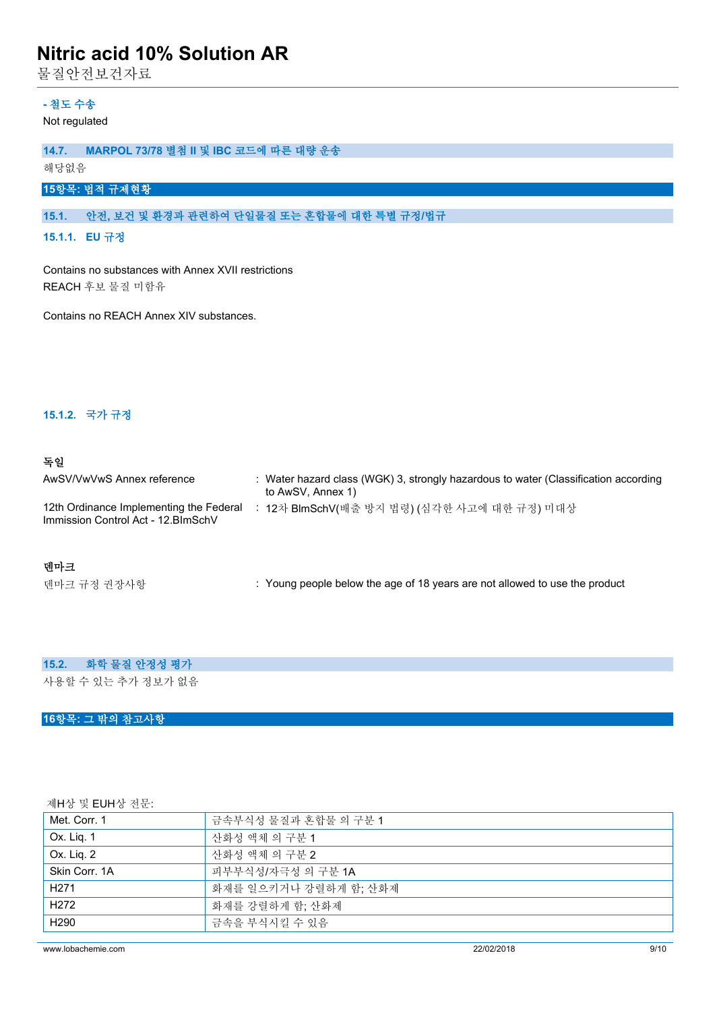물질안전보건자료

## **- 철도 수송**

Not regulated

## **14.7. MARPOL 73/78 별첨 II 및 IBC 코드에 따른 대량 운송**

해당없음

# **15항목: 법적 규제현황**

## **15.1. 안전, 보건 및 환경과 관련하여 단일물질 또는 혼합물에 대한 특별 규정/법규**

**15.1.1. EU 규정**

Contains no substances with Annex XVII restrictions REACH 후보 물질 미함유

Contains no REACH Annex XIV substances.

### **15.1.2. 국가 규정**

### **독일**

| AwSV/VwVwS Annex reference                                                     | : Water hazard class (WGK) 3, strongly hazardous to water (Classification according<br>to AwSV, Annex 1) |
|--------------------------------------------------------------------------------|----------------------------------------------------------------------------------------------------------|
| 12th Ordinance Implementing the Federal<br>Immission Control Act - 12. BlmSchV | 12차 BlmSchV(배출 방지 법령) (심각한 사고에 대한 규정) 미대상                                                                |

## **덴마크**

텐마크 규정 권장사항 **: Young people below the age of 18 years are not allowed to use the product** 

## **15.2. 화학 물질 안정성 평가**

사용할 수 있는 추가 정보가 없음

## **16항목: 그 밖의 참고사항**

제H상 및 EUH상 전문:

| Met. Corr. 1     | 금속부식성 물질과 혼합물 의 구분 1  |  |  |
|------------------|-----------------------|--|--|
| Ox. Lig. 1       | 산화성 액체 의 구분 1         |  |  |
| Ox. Liq. 2       | 산화성 액체 의 구분 2         |  |  |
| Skin Corr. 1A    | 피부부식성/자극성 의 구분 1A     |  |  |
| H <sub>271</sub> | 화재를 일으키거나 강렬하게 함; 산화제 |  |  |
| H <sub>272</sub> | 화재를 강렬하게 함; 산화제       |  |  |
| H <sub>290</sub> | 금속을 부식시킬 수 있음         |  |  |

www.lobachemie.com 22/02/2018 9/10